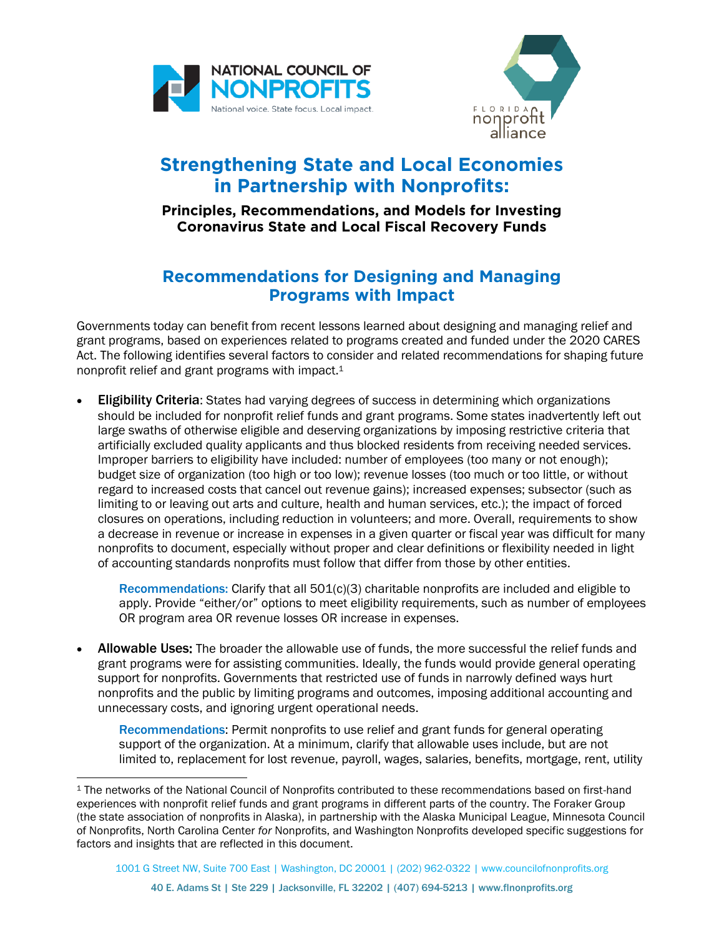



## **Strengthening State and Local Economies in Partnership with Nonprofits:**

## **Principles, Recommendations, and Models for Investing Coronavirus State and Local Fiscal Recovery Funds**

## **Recommendations for Designing and Managing Programs with Impact**

Governments today can benefit from recent lessons learned about designing and managing relief and grant programs, based on experiences related to programs created and funded under the 2020 CARES Act. The following identifies several factors to consider and related recommendations for shaping future nonprofit relief and grant programs with impact.<sup>1</sup>

• Eligibility Criteria: States had varying degrees of success in determining which organizations should be included for nonprofit relief funds and grant programs. Some states inadvertently left out large swaths of otherwise eligible and deserving organizations by imposing restrictive criteria that artificially excluded quality applicants and thus blocked residents from receiving needed services. Improper barriers to eligibility have included: number of employees (too many or not enough); budget size of organization (too high or too low); revenue losses (too much or too little, or without regard to increased costs that cancel out revenue gains); increased expenses; subsector (such as limiting to or leaving out arts and culture, health and human services, etc.); the impact of forced closures on operations, including reduction in volunteers; and more. Overall, requirements to show a decrease in revenue or increase in expenses in a given quarter or fiscal year was difficult for many nonprofits to document, especially without proper and clear definitions or flexibility needed in light of accounting standards nonprofits must follow that differ from those by other entities.

Recommendations: Clarify that all 501(c)(3) charitable nonprofits are included and eligible to apply. Provide "either/or" options to meet eligibility requirements, such as number of employees OR program area OR revenue losses OR increase in expenses.

Allowable Uses: The broader the allowable use of funds, the more successful the relief funds and grant programs were for assisting communities. Ideally, the funds would provide general operating support for nonprofits. Governments that restricted use of funds in narrowly defined ways hurt nonprofits and the public by limiting programs and outcomes, imposing additional accounting and unnecessary costs, and ignoring urgent operational needs.

Recommendations: Permit nonprofits to use relief and grant funds for general operating support of the organization. At a minimum, clarify that allowable uses include, but are not limited to, replacement for lost revenue, payroll, wages, salaries, benefits, mortgage, rent, utility

<sup>1</sup> The networks of the National Council of Nonprofits contributed to these recommendations based on first-hand experiences with nonprofit relief funds and grant programs in different parts of the country. The Foraker Group (the state association of nonprofits in Alaska), in partnership with the Alaska Municipal League, Minnesota Council of Nonprofits, North Carolina Center *for* Nonprofits, and Washington Nonprofits developed specific suggestions for factors and insights that are reflected in this document.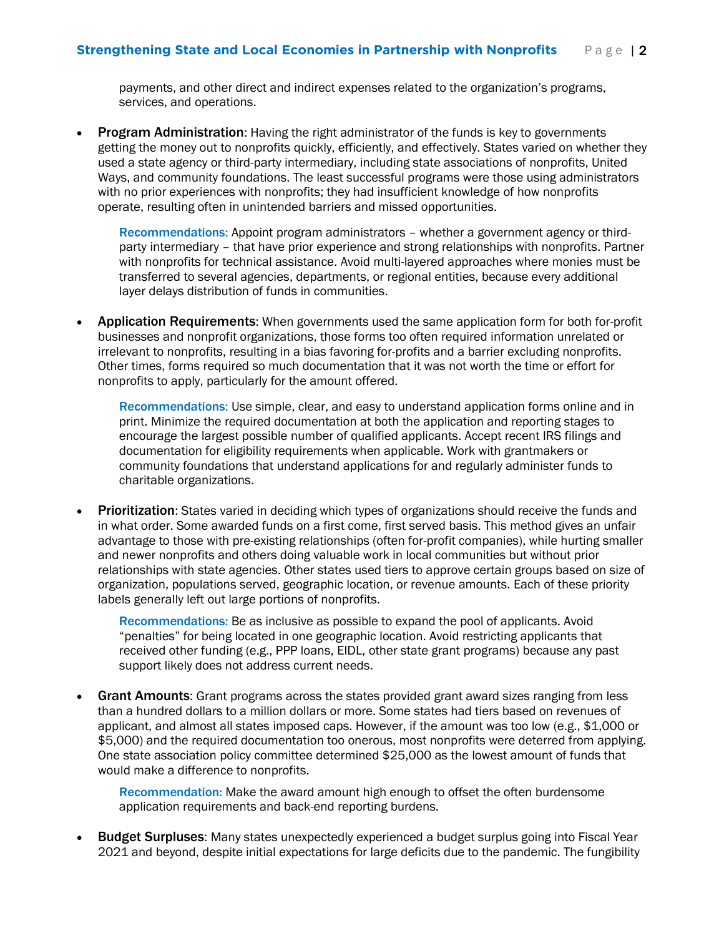payments, and other direct and indirect expenses related to the organization's programs, services, and operations.

**Program Administration:** Having the right administrator of the funds is key to governments getting the money out to nonprofits quickly, efficiently, and effectively. States varied on whether they used a state agency or third-party intermediary, including state associations of nonprofits, United Ways, and community foundations. The least successful programs were those using administrators with no prior experiences with nonprofits; they had insufficient knowledge of how nonprofits operate, resulting often in unintended barriers and missed opportunities.

Recommendations: Appoint program administrators – whether a government agency or thirdparty intermediary – that have prior experience and strong relationships with nonprofits. Partner with nonprofits for technical assistance. Avoid multi-layered approaches where monies must be transferred to several agencies, departments, or regional entities, because every additional layer delays distribution of funds in communities.

• Application Requirements: When governments used the same application form for both for-profit businesses and nonprofit organizations, those forms too often required information unrelated or irrelevant to nonprofits, resulting in a bias favoring for-profits and a barrier excluding nonprofits. Other times, forms required so much documentation that it was not worth the time or effort for nonprofits to apply, particularly for the amount offered.

Recommendations: Use simple, clear, and easy to understand application forms online and in print. Minimize the required documentation at both the application and reporting stages to encourage the largest possible number of qualified applicants. Accept recent IRS filings and documentation for eligibility requirements when applicable. Work with grantmakers or community foundations that understand applications for and regularly administer funds to charitable organizations.

**Prioritization:** States varied in deciding which types of organizations should receive the funds and in what order. Some awarded funds on a first come, first served basis. This method gives an unfair advantage to those with pre-existing relationships (often for-profit companies), while hurting smaller and newer nonprofits and others doing valuable work in local communities but without prior relationships with state agencies. Other states used tiers to approve certain groups based on size of organization, populations served, geographic location, or revenue amounts. Each of these priority labels generally left out large portions of nonprofits.

Recommendations: Be as inclusive as possible to expand the pool of applicants. Avoid "penalties" for being located in one geographic location. Avoid restricting applicants that received other funding (e.g., PPP loans, EIDL, other state grant programs) because any past support likely does not address current needs.

Grant Amounts: Grant programs across the states provided grant award sizes ranging from less than a hundred dollars to a million dollars or more. Some states had tiers based on revenues of applicant, and almost all states imposed caps. However, if the amount was too low (e.g., \$1,000 or \$5,000) and the required documentation too onerous, most nonprofits were deterred from applying. One state association policy committee determined \$25,000 as the lowest amount of funds that would make a difference to nonprofits.

Recommendation: Make the award amount high enough to offset the often burdensome application requirements and back-end reporting burdens.

**Budget Surpluses:** Many states unexpectedly experienced a budget surplus going into Fiscal Year 2021 and beyond, despite initial expectations for large deficits due to the pandemic. The fungibility